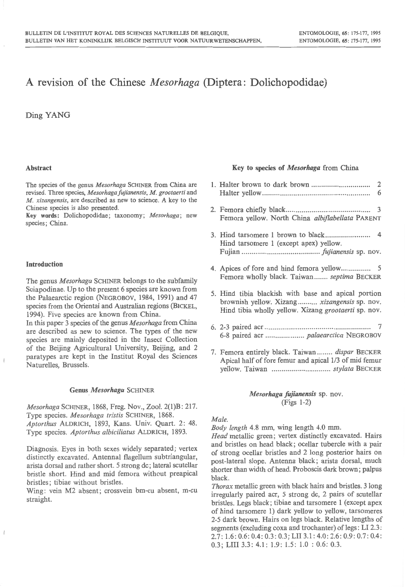# A revision of the Chinese *Mesorhaga* (Diptera: Dolichopodidae)

Ding YANG

#### Abstract

The species of the genus *Mesorhaga* SCHINER from China are revised. Three species, *Mesorhagafujianensis, M. grootaerti* and *M. xizangensis,* are described as new to science. A key to the Chinese species is also presented.

Key words: Dolichopodidae; taxonomy; *Mesorhaga;* new species; China.

#### Introduction

The genus *Mesorhaga* SCHINER belongs to the subfamily Sciapodinae. Up to the present 6 species are known from the Palaearctic region (NEGROBOV, 1984, 1991) and 47 species from the Oriental and Australian regions (BICKEL, 1994). Five species are known from China.

In this paper 3 species of the genus *Mesorhaga* from China are described as new to science. The types of the new species are mainly deposited in the Insect Collection of the Beijing Agricultural University, Beijing, and 2 paratypes are kept in the Institut Royal des Sciences Naturelles, Brussels.

#### Genus *Mesorhaga* SCHINER

*Mesorhaga* SCHINER, 1868, Freg. Nov., Zoo!. 2(1)B: 217. Type species. *Mesorhaga tristis* SCHINER, 1868. *Aptorthus* ALDRICH, 1893, Kans. Univ. Quart. 2: 48. Type species. *Aptorthus albiciliatus* ALDRICH, 1893.

Diagnosis. Eyes in both sexes widely separated; vertex distinctly excavated. Antenna! flagellum subtriangular, arista dorsal and rather short. 5 strong de; lateral scutellar bristle short. Hind and mid femora without preapical bristles; tibiae without bristles.

Wing: vein M2 absent; crossvein bm-cu absent, m-cu straight.

#### Key to species of *Mesorhaga* from China

|  | 2 |
|--|---|
|  | 6 |

- 2. Femora chiefly black... .................... ........ ............ 3 Femora yellow. North China *albiflabellata* PARENT
- 3. Hind tarsomere 1 brown to black.. ..... ..... .. ......... 4 Hind tarsomere 1 (except apex) yellow. Fujian .................. ......... ... ... ....... *fujianensis* sp. nov.
- 4. Apices of fore and hind femora yellow........... .. .. 5 Femora wholly black. Taiwan ....... *septima* BECKER
- 5. Hind tibia blackish with base and apical portion brownish yellow. Xizang ..... .. ... *xizangensis* sp. nov. Hind tibia wholly yellow. Xizang *grootaerti* sp. nov.
- 6. 2-3 paired acr .. ........ .. ... ........................ ... ... .... ... .. 7 6-8 paired acr .................... *palaearctica* NEGROBOV
- 7. Femora entirely black. Taiwan ........ *dispar* BECKER Apical half of fore femur and apical 1/3 of mid femur yellow. Taiwan .............................. *stylata* BECKER

## *Mesorhaga fujianensis* sp. nov. (Figs 1-2)

#### *Male.*

*Body length* 4.8 mm, wing length 4.0 mm.

*Head* metallic green; vertex distinctly excavated. Hairs and bristles on head black; ocellar tubercle with a pair of strong ocellar bristles and 2 long posterior hairs on post-lateral slope. Antenna black; arista dorsal, much shorter than width of head. Proboscis dark brown; palpus black.

*Thorax* metallic green with black hairs and bristles. 3 long irregularly paired acr, 5 strong de, 2 pairs of scutellar bristles. Legs black ; tibiae and tarsomere 1 (except apex of hind tarsomere 1) dark yellow to yellow, tarsomeres 2-5 dark brown. Hairs on legs black. Relative lengths of segments (excluding coxa and trochanter) of legs: LI 2.3: 2.7 : 1.6: 0.6: 0.4: 0.3: 0.3; LII 3.1: 4.0: 2.6: 0.9: 0.7: 0.4: 0.3; LIII 3.3: 4.1: 1.9: 1.5: 1.0 : 0.6: 0.3.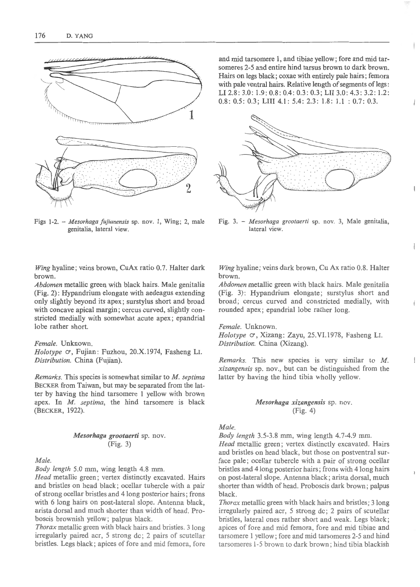

Figs 1-2. - *Mesorhaga fujianensis* sp. nov. I, Wing; 2, male genitalia, lateral view.

and mid tarsomere 1, and tibiae yellow; fore and mid tarsomeres 2-5 and entire hind tarsus brown to dark brown. Hairs on legs black ; coxae with entirely pale hairs; femora with pale ventral hairs. Relative length of segments of legs: LI 2.8: 3.0: 1.9: 0.8: 0.4: 0.3: 0.3; LII 3.0: 4.3: 3.2: 1.2: 0.8: 0.5: 0.3; LIII 4.1: 5.4: 2.3: 1.8: 1.1 : 0.7: 0.3.



Fig. 3. - *Mesorhaga grootaerti* sp. nov. 3, Male genitalia, lateral view.

 $\biggl\{$ 

 $\Bigl\{$ 

*Wing* hyaline; veins brown, CuAx ratio 0.7. Halter dark brown.

*Abdomen* metallic green with black hairs. Male genitalia (Fig. 2): Hypandrium elongate with aedeagus extending only slightly beyond its apex; surstylus short and broad with concave apical margin; cercus curved, slightly constricted medially with somewhat acute apex; epandrial lobe rather short.

# *Female.* Unknown.

*Holotype*  $\circ$ , Fujian: Fuzhou, 20.X.1974, Fasheng LI. *Distribution.* China (Fujian).

*Remarks.* This species is somewhat similar to *M. septima*  BECKER from Taiwan, but may be separated from the latter by having the hind tarsomere I yellow with brown apex. In *M. septima,* the hind tarsomere is black (BECKER, 1922).

### *Mesorhaga grootaerti* sp. nov. (Fig. 3)

## *Male.*

*Body length* 5.0 mm, wing length 4.8 mm.

*Head* metallic green; vertex distinctly excavated. Hairs and bristles on head black; ocellar tubercle with a pair of strong ocellar bristles and 4 long posterior hairs; frons with 6 long hairs on post-lateral slope. Antenna black, arista dorsal and much shorter than width of head. Proboscis brownish yellow; palpus black.

*Thorax* metallic green with black hairs and bristles. 3 long irregularly paired acr, 5 strong de; 2 pairs of scutellar bristles. Legs black ; apices of fore and mid femora, fore

*Wing* hyaline ; veins dark brown, Cu Ax ratio 0.8. Halter brown.

*Abdomen* metallic green with black hairs. Male genitalia (Fig. 3): Hypandrium elongate; surstylus short and broad; cercus curved and constricted medially, with rounded apex; epandrial lobe rather long.

#### *Female.* Unknown.

*Holotype*  $\circ$ , Xizang: Zayu, 25.VI.1978, Fasheng LI. *Distribution.* China (Xizang).

*Remarks.* This new species is very similar to *M. x izangensis* sp. nov., but can be distinguished from the latter by having the hind tibia wholly yellow.

# *Mesorhaga xizangensis* sp. nov. (Fig. 4)

# *Male.*

*Body length* 3.5-3.8 mm, wing length 4.7-4.9 mm.

*Head* metallic green; vertex distinctly excavated. Hairs and bristles on head black, but those on postventral surface pale; ocellar tubercle with a pair of strong ocellar bristles and 4 Iong posterior hairs; frons with 4 long hairs on post-lateral slope. Antenna black; arista dorsal, much shorter than width of head. Proboscis dark brown; palpus black.

*Thorax* metallic green with black hairs and bristles; 3 long irregularly paired acr, 5 strong de; 2 pairs of scutellar bristles, lateral ones rather short and weak. Legs black; apices of fore and mid femora, fore and mid tibiae and tarsomere I yellow ; fore and mid tarsomeres 2-5 and hind tarsomeres 1-5 brown to dark brown ; hind tibia blackish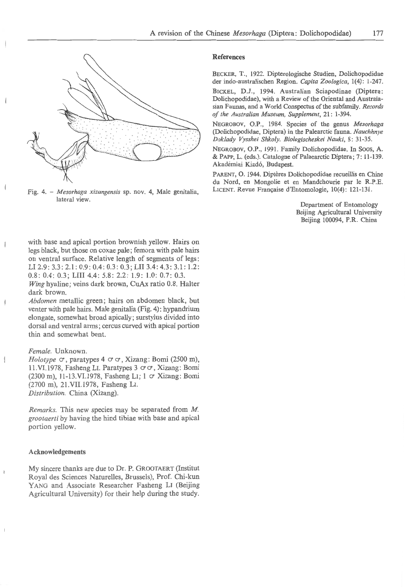

Fig. 4. - *Mesorhaga xizangensis* sp. nov. 4, Male genitalia, lateral view.

with base and apical portion brownish yellow. Hairs on legs black, but those on coxae pale; femora with pale hairs on ventral surface. Relative length of segments of legs : LI 2.9: 3.3: 2.1: 0.9: 0.4: 0.3: 0.3; LII 3.4: 4.3: 3.1: 1.2: 0.8: 0.4: 0.3; LIII 4.4: 5.8: 2.2: 1.9: 1.0: 0.7: 0.3.

*Wing* hyaline; veins dark brown, CuAx ratio 0.8. Halter dark brown.

*Abdomen* metallic green; hairs on abdomen black, but venter with pale hairs. Male genitalia (Fig. 4): hypandrium elongate, somewhat broad apically; surstylus divided into dorsal and ventral arms; cercus curved with apical portion thin and somewhat bent.

### *Female.* Unknown.

*Holotype*  $\circ$ , paratypes 4  $\circ$   $\circ$ , Xizang: Bomi (2500 m), 11. VI.1978, Fasheng LI. Paratypes 3  $\sigma$   $\sigma$ , Xizang: Bomi (2300 m), 11-13.VI.1978, Fasheng LI; I *a* Xizang: Bomi (2700 m), 21.VII.1978, Fasheng LI. *Distribution.* China (Xizang).

*Remarks.* This new species may be separated from *M. grootaerti* by having the hind tibiae with base and apical portion yellow.

# **Acknowledgements**

My sincere thanks are due to Dr. P. GROOTAERT (Institut Royal des Sciences Naturelles, Brussels), Prof. Chi-kun YANG and Associate Researcher Fasheng LI (Beijing Agricultural University) for their help during the study.

## **References**

BECKER, T., 1922. Dipterologische Studien, Dolichopodidae der indo-australischen Region. *Capita Zoologica,* 1(4): 1-247.

BICKEL, D.J., 1994. Australian Sciapodinae (Diptera: Dolichopodidae), with a Review of the Oriental and Australasian Faunas, and a World Conspectus of the subfamily. *Records of the Australian Museum, Supplement,* 21: 1-394.

NEGROBOV, O.P., 1984. Species of the genus *Mesorhaga*  (Dolichopodidae, Diptera) in the Palearctic fauna. *Nauchhnye Doklady Vysshei Shkoly. Biologischeskei Nauki,* 8: 31-35.

NEGROBOV, O.P., 1991. Family Dolichopodidae. In Soos, A. & PAPP, L. (eds.). Catalogue of Palaearctic Diptera ; 7: 11-139. Akademiai Kiado, Budapest.

PARENT, O. 1944. Diptères Dolichopodidae recueillis en Chine du Nord, en Mongolie et en Mandchourie par le R.P.E. LICENT. Revue Française d'Entomologie, 10(4): 121-131.

> Department of Entomology Beijing Agricultural University Beijing 100094, P.R. China